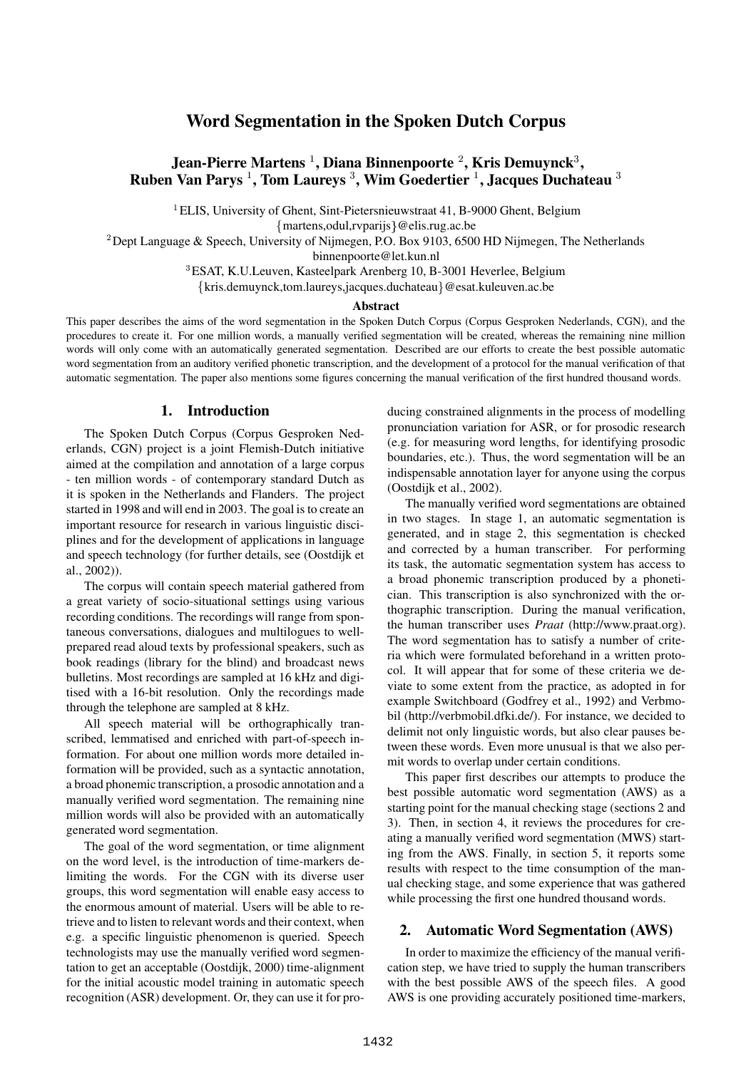# **Word Segmentation in the Spoken Dutch Corpus**

# **Jean-Pierre Martens , Diana Binnenpoorte , Kris Demuynck**-**, Ruben Van Parys , Tom Laureys** - **, Wim Goedertier , Jacques Duchateau** -

 ${}^{1}$ ELIS, University of Ghent, Sint-Pietersnieuwstraat 41, B-9000 Ghent, Belgium martens,odul,rvparijs @elis.rug.ac.be

 $^2$ Dept Language & Speech, University of Nijmegen, P.O. Box 9103, 6500 HD Nijmegen, The Netherlands

binnenpoorte@let.kun.nl

<sup>3</sup>ESAT, K.U.Leuven, Kasteelpark Arenberg 10, B-3001 Heverlee, Belgium

kris.demuynck,tom.laureys,jacques.duchateau @esat.kuleuven.ac.be

#### **Abstract**

This paper describes the aims of the word segmentation in the Spoken Dutch Corpus (Corpus Gesproken Nederlands, CGN), and the procedures to create it. For one million words, a manually verified segmentation will be created, whereas the remaining nine million words will only come with an automatically generated segmentation. Described are our efforts to create the best possible automatic word segmentation from an auditory verified phonetic transcription, and the development of a protocol for the manual verification of that automatic segmentation. The paper also mentions some figures concerning the manual verification of the first hundred thousand words.

# **1. Introduction**

The Spoken Dutch Corpus (Corpus Gesproken Nederlands, CGN) project is a joint Flemish-Dutch initiative aimed at the compilation and annotation of a large corpus - ten million words - of contemporary standard Dutch as it is spoken in the Netherlands and Flanders. The project started in 1998 and will end in 2003. The goal is to create an important resource for research in various linguistic disciplines and for the development of applications in language and speech technology (for further details, see (Oostdijk et al., 2002)).

The corpus will contain speech material gathered from a great variety of socio-situational settings using various recording conditions. The recordings will range from spontaneous conversations, dialogues and multilogues to wellprepared read aloud texts by professional speakers, such as book readings (library for the blind) and broadcast news bulletins. Most recordings are sampled at 16 kHz and digitised with a 16-bit resolution. Only the recordings made through the telephone are sampled at 8 kHz.

All speech material will be orthographically transcribed, lemmatised and enriched with part-of-speech information. For about one million words more detailed information will be provided, such as a syntactic annotation, a broad phonemic transcription, a prosodic annotation and a manually verified word segmentation. The remaining nine million words will also be provided with an automatically generated word segmentation.

The goal of the word segmentation, or time alignment on the word level, is the introduction of time-markers delimiting the words. For the CGN with its diverse user groups, this word segmentation will enable easy access to the enormous amount of material. Users will be able to retrieve and to listen to relevant words and their context, when e.g. a specific linguistic phenomenon is queried. Speech technologists may use the manually verified word segmentation to get an acceptable (Oostdijk, 2000) time-alignment for the initial acoustic model training in automatic speech recognition (ASR) development. Or, they can use it for producing constrained alignments in the process of modelling pronunciation variation for ASR, or for prosodic research (e.g. for measuring word lengths, for identifying prosodic boundaries, etc.). Thus, the word segmentation will be an indispensable annotation layer for anyone using the corpus (Oostdijk et al., 2002).

The manually verified word segmentations are obtained in two stages. In stage 1, an automatic segmentation is generated, and in stage 2, this segmentation is checked and corrected by a human transcriber. For performing its task, the automatic segmentation system has access to a broad phonemic transcription produced by a phonetician. This transcription is also synchronized with the orthographic transcription. During the manual verification, the human transcriber uses *Praat* (http://www.praat.org). The word segmentation has to satisfy a number of criteria which were formulated beforehand in a written protocol. It will appear that for some of these criteria we deviate to some extent from the practice, as adopted in for example Switchboard (Godfrey et al., 1992) and Verbmobil (http://verbmobil.dfki.de/). For instance, we decided to delimit not only linguistic words, but also clear pauses between these words. Even more unusual is that we also permit words to overlap under certain conditions.

This paper first describes our attempts to produce the best possible automatic word segmentation (AWS) as a starting point for the manual checking stage (sections 2 and 3). Then, in section 4, it reviews the procedures for creating a manually verified word segmentation (MWS) starting from the AWS. Finally, in section 5, it reports some results with respect to the time consumption of the manual checking stage, and some experience that was gathered while processing the first one hundred thousand words.

## **2. Automatic Word Segmentation (AWS)**

In order to maximize the efficiency of the manual verification step, we have tried to supply the human transcribers with the best possible AWS of the speech files. A good AWS is one providing accurately positioned time-markers,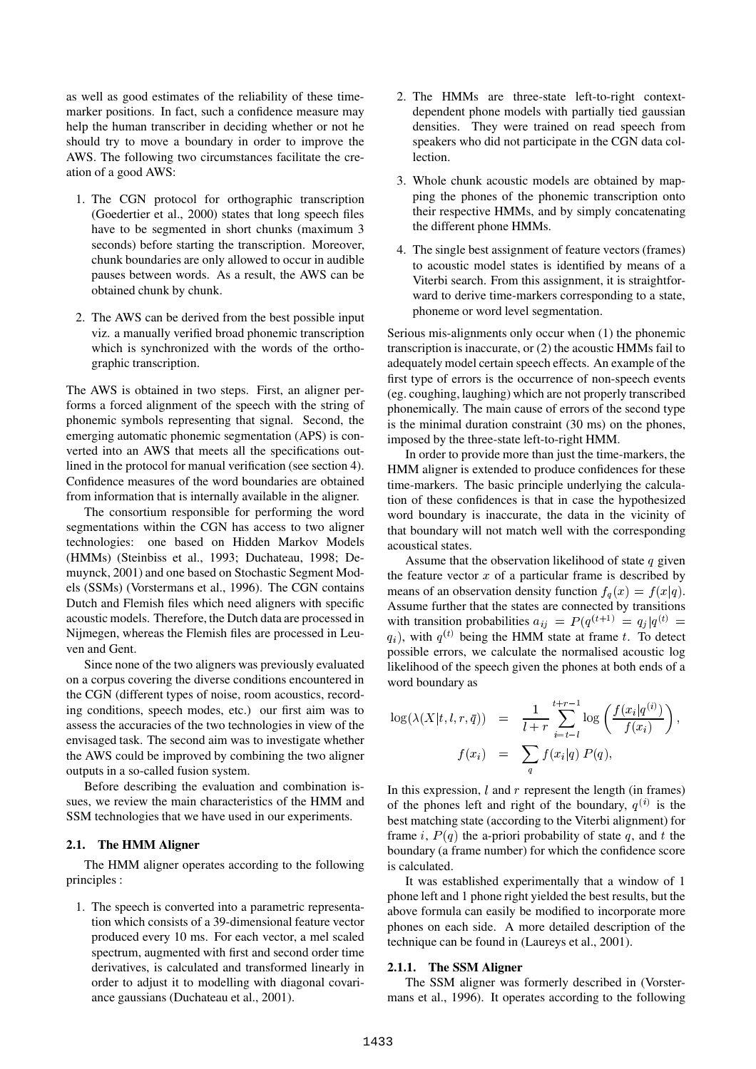as well as good estimates of the reliability of these timemarker positions. In fact, such a confidence measure may help the human transcriber in deciding whether or not he should try to move a boundary in order to improve the AWS. The following two circumstances facilitate the creation of a good AWS:

- 1. The CGN protocol for orthographic transcription (Goedertier et al., 2000) states that long speech files have to be segmented in short chunks (maximum 3 seconds) before starting the transcription. Moreover, chunk boundaries are only allowed to occur in audible pauses between words. As a result, the AWS can be obtained chunk by chunk.
- 2. The AWS can be derived from the best possible input viz. a manually verified broad phonemic transcription which is synchronized with the words of the orthographic transcription.

The AWS is obtained in two steps. First, an aligner performs a forced alignment of the speech with the string of phonemic symbols representing that signal. Second, the emerging automatic phonemic segmentation (APS) is converted into an AWS that meets all the specifications outlined in the protocol for manual verification (see section 4). Confidence measures of the word boundaries are obtained from information that is internally available in the aligner.

The consortium responsible for performing the word segmentations within the CGN has access to two aligner technologies: one based on Hidden Markov Models (HMMs) (Steinbiss et al., 1993; Duchateau, 1998; Demuynck, 2001) and one based on Stochastic Segment Models (SSMs) (Vorstermans et al., 1996). The CGN contains Dutch and Flemish files which need aligners with specific acoustic models. Therefore, the Dutch data are processed in Nijmegen, whereas the Flemish files are processed in Leuven and Gent.

Since none of the two aligners was previously evaluated on a corpus covering the diverse conditions encountered in the CGN (different types of noise, room acoustics, recording conditions, speech modes, etc.) our first aim was to assess the accuracies of the two technologies in view of the envisaged task. The second aim was to investigate whether the AWS could be improved by combining the two aligner outputs in a so-called fusion system.

Before describing the evaluation and combination issues, we review the main characteristics of the HMM and SSM technologies that we have used in our experiments.

## **2.1. The HMM Aligner**

The HMM aligner operates according to the following principles :

1. The speech is converted into a parametric representation which consists of a 39-dimensional feature vector produced every 10 ms. For each vector, a mel scaled spectrum, augmented with first and second order time derivatives, is calculated and transformed linearly in order to adjust it to modelling with diagonal covariance gaussians (Duchateau et al., 2001).

- 2. The HMMs are three-state left-to-right contextdependent phone models with partially tied gaussian densities. They were trained on read speech from speakers who did not participate in the CGN data collection.
- 3. Whole chunk acoustic models are obtained by mapping the phones of the phonemic transcription onto their respective HMMs, and by simply concatenating the different phone HMMs.
- 4. The single best assignment of feature vectors (frames) to acoustic model states is identified by means of a Viterbi search. From this assignment, it is straightforward to derive time-markers corresponding to a state, phoneme or word level segmentation.

Serious mis-alignments only occur when (1) the phonemic transcription is inaccurate, or (2) the acoustic HMMs fail to adequately model certain speech effects. An example of the first type of errors is the occurrence of non-speech events (eg. coughing, laughing) which are not properly transcribed phonemically. The main cause of errors of the second type is the minimal duration constraint (30 ms) on the phones, imposed by the three-state left-to-right HMM.

In order to provide more than just the time-markers, the HMM aligner is extended to produce confidences for these time-markers. The basic principle underlying the calculation of these confidences is that in case the hypothesized word boundary is inaccurate, the data in the vicinity of that boundary will not match well with the corresponding acoustical states.

Assume that the observation likelihood of state  $q$  given the feature vector  $x$  of a particular frame is described by means of an observation density function  $f_q(x) = f(x|q)$ . 
 Assume further that the states are connected by transitions with transition probabilities  $a_{ij} = P(q^{(t+1)} = q_i|q^{(t)} =$ where the HMM state at frame t. To detect  $q_i$ ), with  $q^{(t)}$  being the HMM state at frame t. To detect possible errors, we calculate the normalised acoustic log likelihood of the speech given the phones at both ends of a word boundary as

$$
\log(\lambda(X|t, l, r, \bar{q})) = \frac{1}{l+r} \sum_{i=t-l}^{t+r-1} \log\left(\frac{f(x_i|q^{(i)})}{f(x_i)}\right),
$$

$$
f(x_i) = \sum_q f(x_i|q) P(q),
$$

In this expression,  $l$  and  $r$  represent the length (in frames) of the phones left and right of the boundary,  $q^{(i)}$  is the best matching state (according to the Viterbi alignment) for frame i,  $P(q)$  the a-priori probability of state q, and t the boundary (a frame number) for which the confidence score is calculated.

It was established experimentally that a window of 1 phone left and 1 phone right yielded the best results, but the above formula can easily be modified to incorporate more phones on each side. A more detailed description of the technique can be found in (Laureys et al., 2001).

#### **2.1.1. The SSM Aligner**

The SSM aligner was formerly described in (Vorstermans et al., 1996). It operates according to the following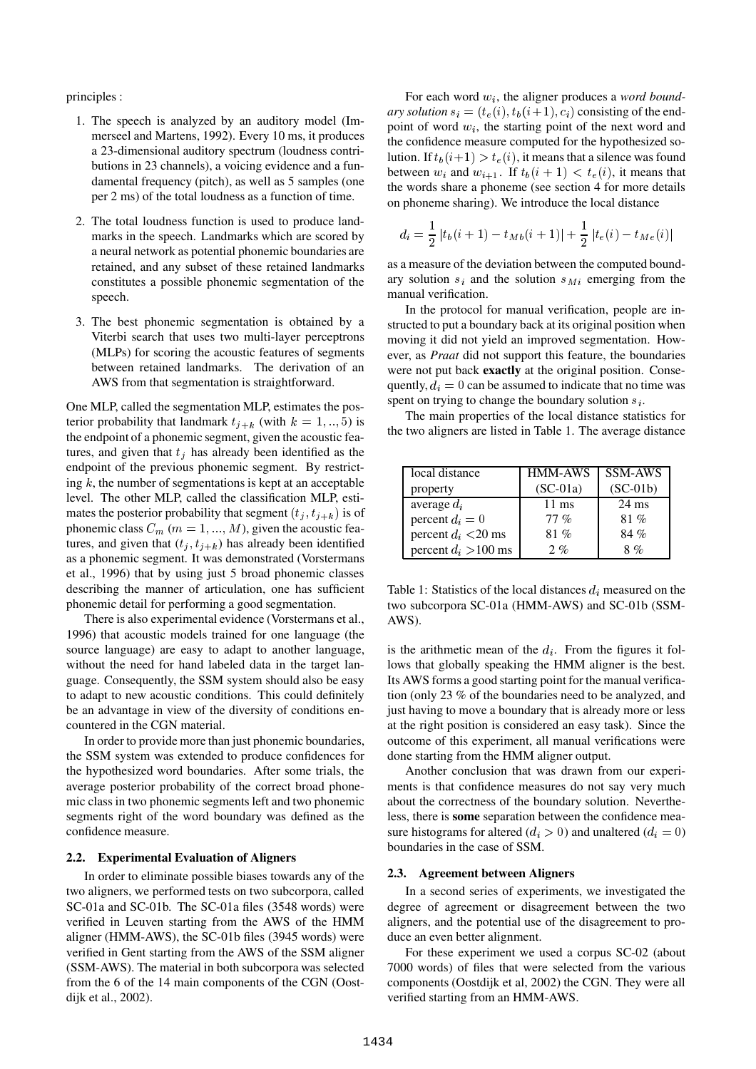principles :

- 1. The speech is analyzed by an auditory model (Immerseel and Martens, 1992). Every 10 ms, it produces a 23-dimensional auditory spectrum (loudness contributions in 23 channels), a voicing evidence and a fundamental frequency (pitch), as well as 5 samples (one per 2 ms) of the total loudness as a function of time.
- 2. The total loudness function is used to produce landmarks in the speech. Landmarks which are scored by a neural network as potential phonemic boundaries are retained, and any subset of these retained landmarks constitutes a possible phonemic segmentation of the speech.
- 3. The best phonemic segmentation is obtained by a Viterbi search that uses two multi-layer perceptrons (MLPs) for scoring the acoustic features of segments between retained landmarks. The derivation of an AWS from that segmentation is straightforward.

One MLP, called the segmentation MLP, estimates the posterior probability that landmark  $t_{j+k}$  (with  $k = 1, ..., 5$ ) is<br>the endpoint of a phonemic segment, given the acoustic feathe endpoint of a phonemic segment, given the acoustic features, and given that  $t_j$  has already been identified as the endpoint of the previous phonemic segment. By restricting  $k$ , the number of segmentations is kept at an acceptable level. The other MLP, called the classification MLP, estimates the posterior probability that segment  $(t_j, t_{j+k})$  is of<br>phonemic class  $C$  ( $m-1$ )  $M$ ) given the acquisic feaphonemic class  $C_m$   $(m = 1, ..., M)$ , given the acoustic features, and given that  $(t_j, t_{j+k})$  has already been identified<br>as a phonemic segment. It was demonstrated (Vorstermans as a phonemic segment. It was demonstrated (Vorstermans et al., 1996) that by using just 5 broad phonemic classes describing the manner of articulation, one has sufficient phonemic detail for performing a good segmentation.

There is also experimental evidence (Vorstermans et al., 1996) that acoustic models trained for one language (the source language) are easy to adapt to another language, without the need for hand labeled data in the target language. Consequently, the SSM system should also be easy to adapt to new acoustic conditions. This could definitely be an advantage in view of the diversity of conditions encountered in the CGN material.

In order to provide more than just phonemic boundaries, the SSM system was extended to produce confidences for the hypothesized word boundaries. After some trials, the average posterior probability of the correct broad phonemic class in two phonemic segments left and two phonemic segments right of the word boundary was defined as the confidence measure.

### **2.2. Experimental Evaluation of Aligners**

In order to eliminate possible biases towards any of the two aligners, we performed tests on two subcorpora, called SC-01a and SC-01b. The SC-01a files (3548 words) were verified in Leuven starting from the AWS of the HMM aligner (HMM-AWS), the SC-01b files (3945 words) were verified in Gent starting from the AWS of the SSM aligner (SSM-AWS). The material in both subcorpora was selected from the 6 of the 14 main components of the CGN (Oostdijk et al., 2002).

For each word  $w_i$ , the aligner produces a *word boundary* solution  $s_i = (t_e(i), t_b(i+1), c_i)$  consisting of the endpoint of word  $w_i$ , the starting point of the next word and the confidence measure computed for the hypothesized solution. If  $t_b(i+1) > t_e(i)$ , it means that a silence was found between  $w_i$  and  $w_{i+1}$ . If  $t_b(i + 1) < t_e(i)$ , it means that the words share a phoneme (see section 4 for more details) the words share a phoneme (see section 4 for more details on phoneme sharing). We introduce the local distance

$$
d_i = \frac{1}{2} |t_b(i + 1) - t_{Mb}(i + 1)| + \frac{1}{2} |t_e(i) - t_{Me}(i)|
$$

as a measure of the deviation between the computed boundary solution  $s_i$  and the solution  $s_M$  emerging from the manual verification.

In the protocol for manual verification, people are instructed to put a boundary back at its original position when moving it did not yield an improved segmentation. However, as *Praat* did not support this feature, the boundaries were not put back **exactly** at the original position. Consequently,  $d_i = 0$  can be assumed to indicate that no time was spent on trying to change the boundary solution  $s_i$ .

The main properties of the local distance statistics for the two aligners are listed in Table 1. The average distance

| local distance         | <b>HMM-AWS</b>  | <b>SSM-AWS</b>  |
|------------------------|-----------------|-----------------|
| property               | $(SC-01a)$      | $(SC-01b)$      |
| average $d_i$          | $11 \text{ ms}$ | $24 \text{ ms}$ |
| percent $d_i = 0$      | $77\%$          | 81%             |
| percent $d_i$ <20 ms   | 81%             | 84 %            |
| percent $d_i > 100$ ms | 2.96            | $8\%$           |

Table 1: Statistics of the local distances  $d_i$  measured on the two subcorpora SC-01a (HMM-AWS) and SC-01b (SSM-AWS).

is the arithmetic mean of the  $d_i$ . From the figures it follows that globally speaking the HMM aligner is the best. Its AWS forms a good starting point for the manual verification (only 23 % of the boundaries need to be analyzed, and just having to move a boundary that is already more or less at the right position is considered an easy task). Since the outcome of this experiment, all manual verifications were done starting from the HMM aligner output.

Another conclusion that was drawn from our experiments is that confidence measures do not say very much about the correctness of the boundary solution. Nevertheless, there is **some** separation between the confidence measure histograms for altered  $(d_i > 0)$  and unaltered  $(d_i = 0)$ boundaries in the case of SSM.

### **2.3. Agreement between Aligners**

In a second series of experiments, we investigated the degree of agreement or disagreement between the two aligners, and the potential use of the disagreement to produce an even better alignment.

For these experiment we used a corpus SC-02 (about 7000 words) of files that were selected from the various components (Oostdijk et al, 2002) the CGN. They were all verified starting from an HMM-AWS.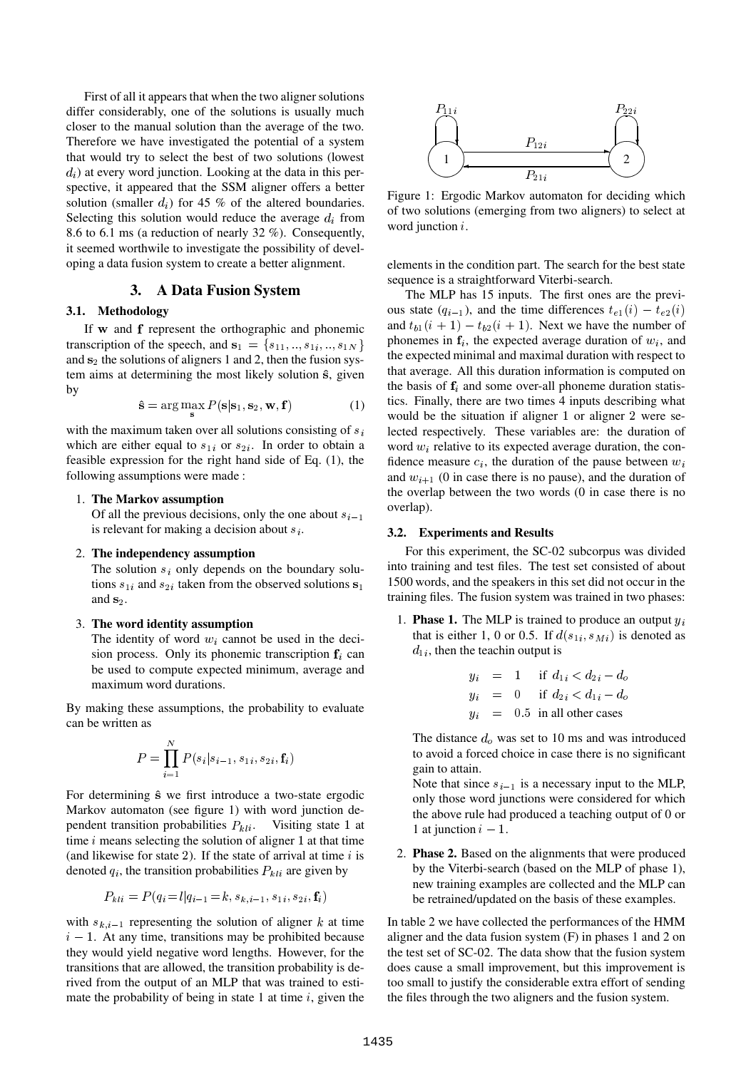First of all it appears that when the two aligner solutions differ considerably, one of the solutions is usually much closer to the manual solution than the average of the two. Therefore we have investigated the potential of a system that would try to select the best of two solutions (lowest  $d_i$ ) at every word junction. Looking at the data in this perspective, it appeared that the SSM aligner offers a better solution (smaller  $d_i$ ) for 45 % of the altered boundaries. Selecting this solution would reduce the average  $d_i$  from 8.6 to 6.1 ms (a reduction of nearly 32 %). Consequently, it seemed worthwile to investigate the possibility of developing a data fusion system to create a better alignment.

# **3. A Data Fusion System**

# **3.1. Methodology**

If w and f represent the orthographic and phonemic transcription of the speech, and  $s_1 = \{s_{11}, ..., s_{1i}, ..., s_{1N}\}\$  phone and  $s_2$  the solutions of aligners 1 and 2, then the fusion system aims at determining the most likely solution  $\hat{s}$ , given by

$$
\hat{\mathbf{s}} = \arg\max_{\mathbf{s}} P(\mathbf{s}|\mathbf{s}_1, \mathbf{s}_2, \mathbf{w}, \mathbf{f}) \tag{1}
$$

with the maximum taken over all solutions consisting of  $s_i$ which are either equal to  $s_{1i}$  or  $s_{2i}$ . In order to obtain a feasible expression for the right hand side of Eq.  $(1)$ , the following assumptions were made :

### 1. **The Markov assumption**

Of all the previous decisions, only the one about  $s_{i-1}$ is relevant for making a decision about  $s_i$ .

### 2. **The independency assumption**

The solution  $s_i$  only depends on the boundary solutions  $s_{1i}$  and  $s_{2i}$  taken from the observed solutions  $s_1$  [1] and  $s_2$ .

### 3. **The word identity assumption**

The identity of word  $w_i$  cannot be used in the decision process. Only its phonemic transcription  $f_i$  can be used to compute expected minimum, average and maximum word durations.

By making these assumptions, the probability to evaluate can be written as

$$
P = \prod_{i=1}^{N} P(s_i|s_{i-1}, s_{1i}, s_{2i}, \mathbf{f}_i)
$$

For determining  $\hat{s}$  we first introduce a two-state ergodic Markov automaton (see figure 1) with word junction dependent transition probabilities  $P_{kli}$ . Visiting state 1 at the sime *i* means selecting the solution of aligner 1 at that time time  $i$  means selecting the solution of aligner 1 at that time (and likewise for state 2). If the state of arrival at time  $i$  is denoted  $q_i$ , the transition probabilities  $P_{kli}$  are given by

$$
P_{kli} = P(q_i = l | q_{i-1} = k, s_{k,i-1}, s_{1i}, s_{2i}, \mathbf{f}_i)
$$

with  $s_{k,i-1}$  representing the solution of aligner k at time  $i - 1$ . At any time, transitions may be prohibited because they would yield negative word lengths. However, for the transitions that are allowed, the transition probability is derived from the output of an MLP that was trained to estimate the probability of being in state 1 at time  $i$ , given the



Figure 1: Ergodic Markov automaton for deciding which of two solutions (emerging from two aligners) to select at word junction  $i$ .

elements in the condition part. The search for the best state sequence is a straightforward Viterbi-search.

The MLP has 15 inputs. The first ones are the previous state  $(q_{i-1})$ , and the time differences  $t_{e_1}(i) - t_{e_2}(i)$ and  $t_{b1}(i + 1) - t_{b2}(i + 1)$ . Next we have the number of phonemes in  $f_i$ , the expected average duration of  $w_i$ , and the expected minimal and maximal duration with respect to that average. All this duration information is computed on the basis of  $f_i$  and some over-all phoneme duration statistics. Finally, there are two times 4 inputs describing what would be the situation if aligner 1 or aligner 2 were selected respectively. These variables are: the duration of word  $w_i$  relative to its expected average duration, the confidence measure  $c_i$ , the duration of the pause between  $w_i$ and  $w_{i+1}$  (0 in case there is no pause), and the duration of the overlap between the two words (0 in case there is no overlap).

# A **3.2. Experiments and Results**

For this experiment, the SC-02 subcorpus was divided into training and test files. The test set consisted of about 1500 words, and the speakers in this set did not occur in the training files. The fusion system was trained in two phases:

1. **Phase 1.** The MLP is trained to produce an output  $y_i$ that is either 1, 0 or 0.5. If  $d(s_{1i}, s_{Mi})$  is denoted as  $d_{1i}$ , then the teachin output is

$$
y_i = 1 \quad \text{if } d_{1i} < d_{2i} - d_o
$$
\n
$$
y_i = 0 \quad \text{if } d_{2i} < d_{1i} - d_o
$$
\n
$$
y_i = 0.5 \quad \text{in all other cases}
$$

The distance  $d_0$  was set to 10 ms and was introduced to avoid a forced choice in case there is no significant gain to attain.

Note that since  $s_{i-1}$  is a necessary input to the MLP, only those word junctions were considered for which the above rule had produced a teaching output of 0 or 1 at junction  $i - 1$ .

2. **Phase 2.** Based on the alignments that were produced by the Viterbi-search (based on the MLP of phase 1), new training examples are collected and the MLP can be retrained/updated on the basis of these examples.

In table 2 we have collected the performances of the HMM aligner and the data fusion system (F) in phases 1 and 2 on the test set of SC-02. The data show that the fusion system does cause a small improvement, but this improvement is too small to justify the considerable extra effort of sending the files through the two aligners and the fusion system.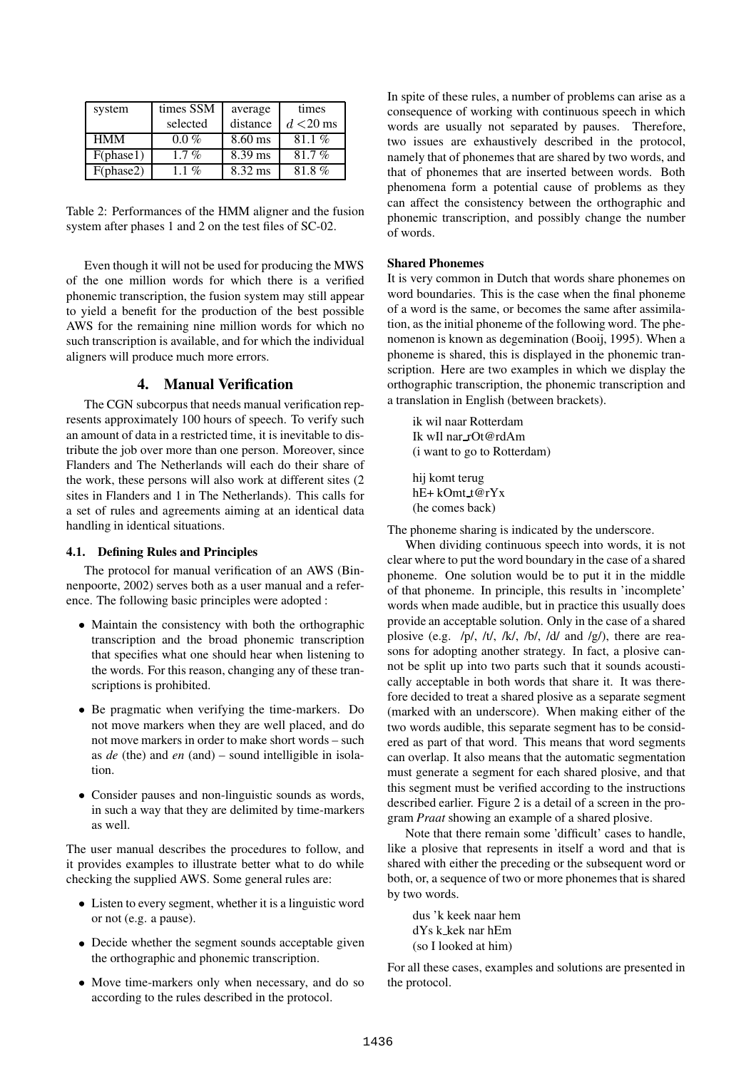| system     | times SSM | average   | times       |
|------------|-----------|-----------|-------------|
|            | selected  | distance  | $d < 20$ ms |
| <b>HMM</b> | $0.0\%$   | $8.60$ ms | 81.1%       |
| F(phase1)  | $1.7\%$   | $8.39$ ms | 81.7%       |
| F(phase2)  | 1.1 $%$   | 8.32 ms   | 81.8%       |

Table 2: Performances of the HMM aligner and the fusion system after phases 1 and 2 on the test files of SC-02.

Even though it will not be used for producing the MWS of the one million words for which there is a verified phonemic transcription, the fusion system may still appear to yield a benefit for the production of the best possible AWS for the remaining nine million words for which no such transcription is available, and for which the individual aligners will produce much more errors.

# **4. Manual Verification**

The CGN subcorpus that needs manual verification represents approximately 100 hours of speech. To verify such an amount of data in a restricted time, it is inevitable to distribute the job over more than one person. Moreover, since Flanders and The Netherlands will each do their share of the work, these persons will also work at different sites (2 sites in Flanders and 1 in The Netherlands). This calls for a set of rules and agreements aiming at an identical data handling in identical situations.

#### **4.1. Defining Rules and Principles**

The protocol for manual verification of an AWS (Binnenpoorte, 2002) serves both as a user manual and a reference. The following basic principles were adopted :

- Maintain the consistency with both the orthographic transcription and the broad phonemic transcription that specifies what one should hear when listening to the words. For this reason, changing any of these transcriptions is prohibited.
- Be pragmatic when verifying the time-markers. Do not move markers when they are well placed, and do not move markers in order to make short words – such as *de* (the) and *en* (and) – sound intelligible in isolation.
- Consider pauses and non-linguistic sounds as words, in such a way that they are delimited by time-markers as well.

The user manual describes the procedures to follow, and it provides examples to illustrate better what to do while checking the supplied AWS. Some general rules are:

- Listen to every segment, whether it is a linguistic word or not (e.g. a pause).
- Decide whether the segment sounds acceptable given the orthographic and phonemic transcription.
- Move time-markers only when necessary, and do so according to the rules described in the protocol.

In spite of these rules, a number of problems can arise as a consequence of working with continuous speech in which words are usually not separated by pauses. Therefore, two issues are exhaustively described in the protocol, namely that of phonemes that are shared by two words, and that of phonemes that are inserted between words. Both phenomena form a potential cause of problems as they can affect the consistency between the orthographic and phonemic transcription, and possibly change the number of words.

### **Shared Phonemes**

It is very common in Dutch that words share phonemes on word boundaries. This is the case when the final phoneme of a word is the same, or becomes the same after assimilation, as the initial phoneme of the following word. The phenomenon is known as degemination (Booij, 1995). When a phoneme is shared, this is displayed in the phonemic transcription. Here are two examples in which we display the orthographic transcription, the phonemic transcription and a translation in English (between brackets).

ik wil naar Rotterdam Ik wIl nar rOt@rdAm (i want to go to Rotterdam)

hij komt terug hE+ kOmt t@rYx (he comes back)

The phoneme sharing is indicated by the underscore.

When dividing continuous speech into words, it is not clear where to put the word boundary in the case of a shared phoneme. One solution would be to put it in the middle of that phoneme. In principle, this results in 'incomplete' words when made audible, but in practice this usually does provide an acceptable solution. Only in the case of a shared plosive (e.g. /p/, /t/, /k/, /b/, /d/ and /g/), there are reasons for adopting another strategy. In fact, a plosive cannot be split up into two parts such that it sounds acoustically acceptable in both words that share it. It was therefore decided to treat a shared plosive as a separate segment (marked with an underscore). When making either of the two words audible, this separate segment has to be considered as part of that word. This means that word segments can overlap. It also means that the automatic segmentation must generate a segment for each shared plosive, and that this segment must be verified according to the instructions described earlier. Figure 2 is a detail of a screen in the program *Praat* showing an example of a shared plosive.

Note that there remain some 'difficult' cases to handle, like a plosive that represents in itself a word and that is shared with either the preceding or the subsequent word or both, or, a sequence of two or more phonemes that is shared by two words.

dus 'k keek naar hem dYs k kek nar hEm (so I looked at him)

For all these cases, examples and solutions are presented in the protocol.